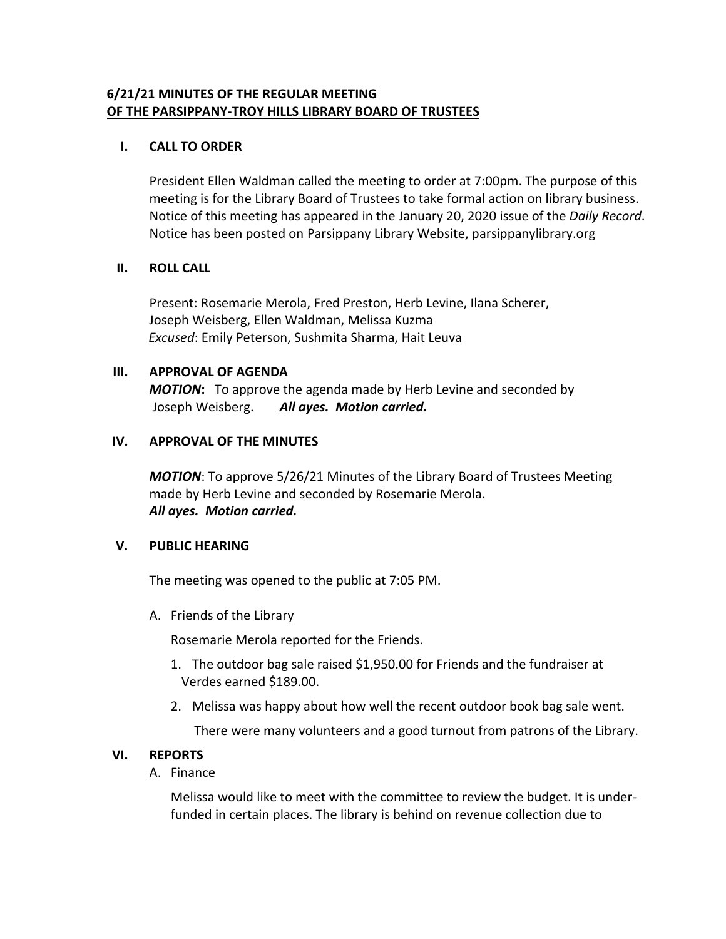# **6/21/21 MINUTES OF THE REGULAR MEETING OF THE PARSIPPANY-TROY HILLS LIBRARY BOARD OF TRUSTEES**

### **I. CALL TO ORDER**

President Ellen Waldman called the meeting to order at 7:00pm. The purpose of this meeting is for the Library Board of Trustees to take formal action on library business. Notice of this meeting has appeared in the January 20, 2020 issue of the *Daily Record*. Notice has been posted on Parsippany Library Website, parsippanylibrary.org

#### **II. ROLL CALL**

Present: Rosemarie Merola, Fred Preston, Herb Levine, Ilana Scherer, Joseph Weisberg, Ellen Waldman, Melissa Kuzma  *Excused*: Emily Peterson, Sushmita Sharma, Hait Leuva

#### **III. APPROVAL OF AGENDA**

*MOTION***:** To approve the agenda made by Herb Levine and seconded by Joseph Weisberg. *All ayes. Motion carried.*

#### **IV. APPROVAL OF THE MINUTES**

*MOTION*: To approve 5/26/21 Minutes of the Library Board of Trustees Meeting made by Herb Levine and seconded by Rosemarie Merola. *All ayes. Motion carried.*

### **V. PUBLIC HEARING**

The meeting was opened to the public at 7:05 PM.

A. Friends of the Library

Rosemarie Merola reported for the Friends.

- 1. The outdoor bag sale raised \$1,950.00 for Friends and the fundraiser at Verdes earned \$189.00.
- 2. Melissa was happy about how well the recent outdoor book bag sale went.

There were many volunteers and a good turnout from patrons of the Library.

### **VI. REPORTS**

A. Finance

Melissa would like to meet with the committee to review the budget. It is underfunded in certain places. The library is behind on revenue collection due to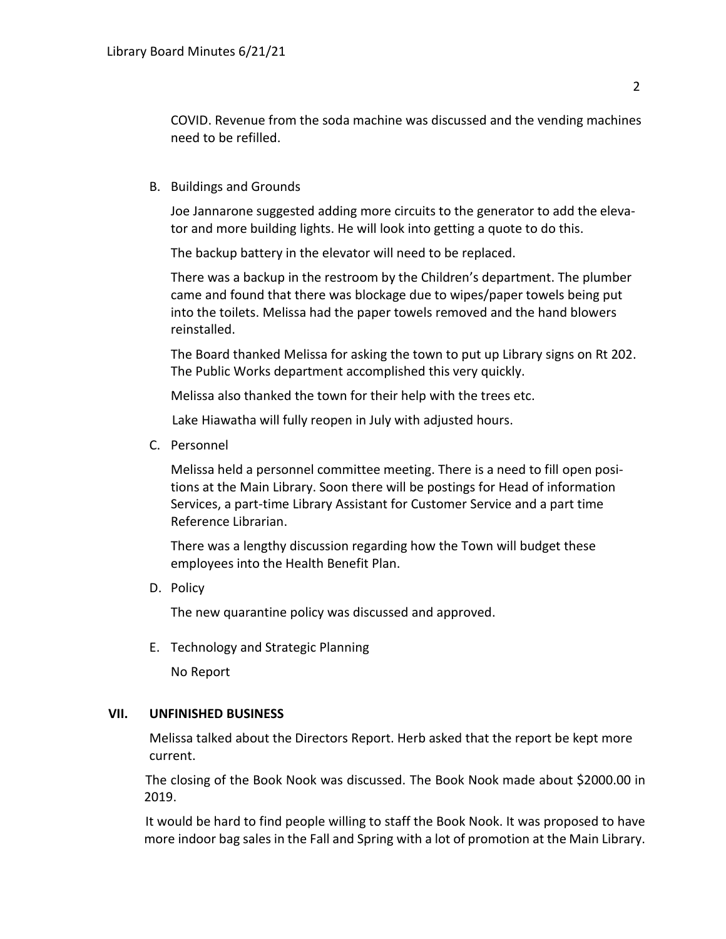COVID. Revenue from the soda machine was discussed and the vending machines need to be refilled.

B. Buildings and Grounds

Joe Jannarone suggested adding more circuits to the generator to add the elevator and more building lights. He will look into getting a quote to do this.

The backup battery in the elevator will need to be replaced.

There was a backup in the restroom by the Children's department. The plumber came and found that there was blockage due to wipes/paper towels being put into the toilets. Melissa had the paper towels removed and the hand blowers reinstalled.

The Board thanked Melissa for asking the town to put up Library signs on Rt 202. The Public Works department accomplished this very quickly.

Melissa also thanked the town for their help with the trees etc.

Lake Hiawatha will fully reopen in July with adjusted hours.

C. Personnel

Melissa held a personnel committee meeting. There is a need to fill open positions at the Main Library. Soon there will be postings for Head of information Services, a part-time Library Assistant for Customer Service and a part time Reference Librarian.

There was a lengthy discussion regarding how the Town will budget these employees into the Health Benefit Plan.

D. Policy

The new quarantine policy was discussed and approved.

E. Technology and Strategic Planning

No Report

### **VII. UNFINISHED BUSINESS**

Melissa talked about the Directors Report. Herb asked that the report be kept more current.

 The closing of the Book Nook was discussed. The Book Nook made about \$2000.00 in 2019.

 It would be hard to find people willing to staff the Book Nook. It was proposed to have more indoor bag sales in the Fall and Spring with a lot of promotion at the Main Library.